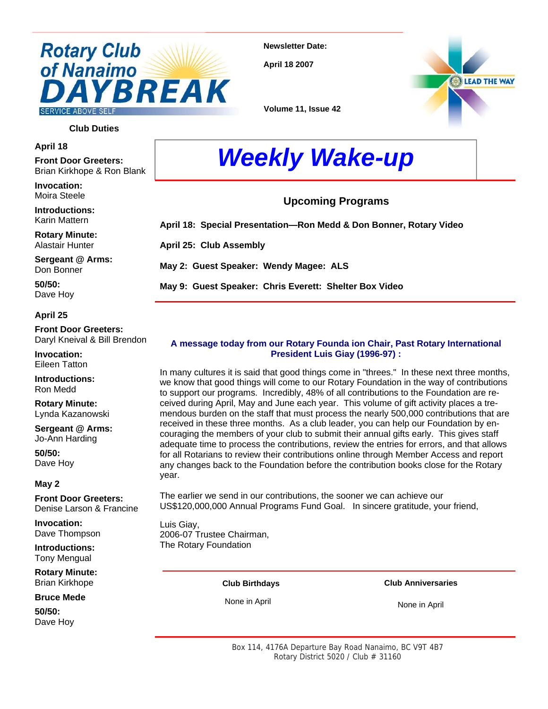## **Rotary Club** of Nanaimo **BREAK SERVICE ABOVE SELF**

**Newsletter Date:** 

**April 18 2007** 



**Volume 11, Issue 42** 

#### **Club Duties**

**April 18** 

**Front Door Greeters:** Brian Kirkhope & Ron Blank

**Invocation:**  Moira Steele

**Introductions:**  Karin Mattern

**Rotary Minute:**  Alastair Hunter

**Sergeant @ Arms:**  Don Bonner

**50/50:**  Dave Hoy

#### **April 25**

**Front Door Greeters:**  Daryl Kneival & Bill Brendon

**Invocation:**  Eileen Tatton

**Introductions:**  Ron Medd

**Rotary Minute:**  Lynda Kazanowski

**Sergeant @ Arms:**  Jo-Ann Harding

**50/50:**  Dave Hoy

#### **May 2**

**Front Door Greeters:**  Denise Larson & Francine

**Invocation:**  Dave Thompson

**Introductions:**  Tony Mengual

**Rotary Minute:**  Brian Kirkhope

**Bruce Mede**

**50/50:**  Dave Hoy

# *Weekly Wake-up*

#### **Upcoming Programs**

**April 18: Special Presentation—Ron Medd & Don Bonner, Rotary Video** 

**April 25: Club Assembly** 

**May 2: Guest Speaker: Wendy Magee: ALS** 

**May 9: Guest Speaker: Chris Everett: Shelter Box Video** 

#### **A message today from our Rotary Founda ion Chair, Past Rotary International President Luis Giay (1996-97) :**

In many cultures it is said that good things come in "threes." In these next three months, we know that good things will come to our Rotary Foundation in the way of contributions to support our programs. Incredibly, 48% of all contributions to the Foundation are received during April, May and June each year. This volume of gift activity places a tremendous burden on the staff that must process the nearly 500,000 contributions that are received in these three months. As a club leader, you can help our Foundation by encouraging the members of your club to submit their annual gifts early. This gives staff adequate time to process the contributions, review the entries for errors, and that allows for all Rotarians to review their contributions online through Member Access and report any changes back to the Foundation before the contribution books close for the Rotary year.

The earlier we send in our contributions, the sooner we can achieve our US\$120,000,000 Annual Programs Fund Goal. In sincere gratitude, your friend,

Luis Giay, 2006-07 Trustee Chairman, The Rotary Foundation

#### **Club Birthdays**

None in April

#### **Club Anniversaries**

None in April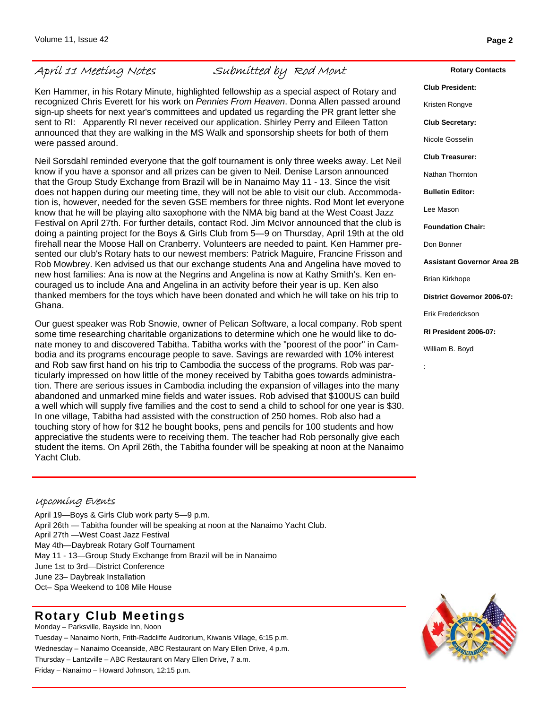### April 11 Meeting Notes Submitted by Rod Mont

Ken Hammer, in his Rotary Minute, highlighted fellowship as a special aspect of Rotary and recognized Chris Everett for his work on *Pennies From Heaven*. Donna Allen passed around sign-up sheets for next year's committees and updated us regarding the PR grant letter she sent to RI: Apparently RI never received our application. Shirley Perry and Eileen Tatton announced that they are walking in the MS Walk and sponsorship sheets for both of them were passed around.

Neil Sorsdahl reminded everyone that the golf tournament is only three weeks away. Let Neil know if you have a sponsor and all prizes can be given to Neil. Denise Larson announced that the Group Study Exchange from Brazil will be in Nanaimo May 11 - 13. Since the visit does not happen during our meeting time, they will not be able to visit our club. Accommodation is, however, needed for the seven GSE members for three nights. Rod Mont let everyone know that he will be playing alto saxophone with the NMA big band at the West Coast Jazz Festival on April 27th. For further details, contact Rod. Jim McIvor announced that the club is doing a painting project for the Boys & Girls Club from 5—9 on Thursday, April 19th at the old firehall near the Moose Hall on Cranberry. Volunteers are needed to paint. Ken Hammer presented our club's Rotary hats to our newest members: Patrick Maguire, Francine Frisson and Rob Mowbrey. Ken advised us that our exchange students Ana and Angelina have moved to new host families: Ana is now at the Negrins and Angelina is now at Kathy Smith's. Ken encouraged us to include Ana and Angelina in an activity before their year is up. Ken also thanked members for the toys which have been donated and which he will take on his trip to Ghana.

Our guest speaker was Rob Snowie, owner of Pelican Software, a local company. Rob spent some time researching charitable organizations to determine which one he would like to donate money to and discovered Tabitha. Tabitha works with the "poorest of the poor" in Cambodia and its programs encourage people to save. Savings are rewarded with 10% interest and Rob saw first hand on his trip to Cambodia the success of the programs. Rob was particularly impressed on how little of the money received by Tabitha goes towards administration. There are serious issues in Cambodia including the expansion of villages into the many abandoned and unmarked mine fields and water issues. Rob advised that \$100US can build a well which will supply five families and the cost to send a child to school for one year is \$30. In one village, Tabitha had assisted with the construction of 250 homes. Rob also had a touching story of how for \$12 he bought books, pens and pencils for 100 students and how appreciative the students were to receiving them. The teacher had Rob personally give each student the items. On April 26th, the Tabitha founder will be speaking at noon at the Nanaimo Yacht Club.

**Club Treasurer:**  Nathan Thornton **Bulletin Editor:**  Lee Mason **Foundation Chair:**  Don Bonner Brian Kirkhope Erik Frederickson **RI President 2006-07:**  William B. Boyd

:

#### Upcoming Events

April 19—Boys & Girls Club work party 5—9 p.m. April 26th — Tabitha founder will be speaking at noon at the Nanaimo Yacht Club. April 27th —West Coast Jazz Festival May 4th—Daybreak Rotary Golf Tournament May 11 - 13—Group Study Exchange from Brazil will be in Nanaimo June 1st to 3rd—District Conference June 23– Daybreak Installation Oct– Spa Weekend to 108 Mile House

### **Rotary Club Meetings**

Monday – Parksville, Bayside Inn, Noon Tuesday – Nanaimo North, Frith-Radcliffe Auditorium, Kiwanis Village, 6:15 p.m. Wednesday – Nanaimo Oceanside, ABC Restaurant on Mary Ellen Drive, 4 p.m. Thursday – Lantzville – ABC Restaurant on Mary Ellen Drive, 7 a.m. Friday – Nanaimo – Howard Johnson, 12:15 p.m.



#### **Club President:**

**Rotary Contacts** 

Kristen Rongve

**Club Secretary:** 

Nicole Gosselin

**Assistant Governor Area 2B** 

**District Governor 2006-07:**